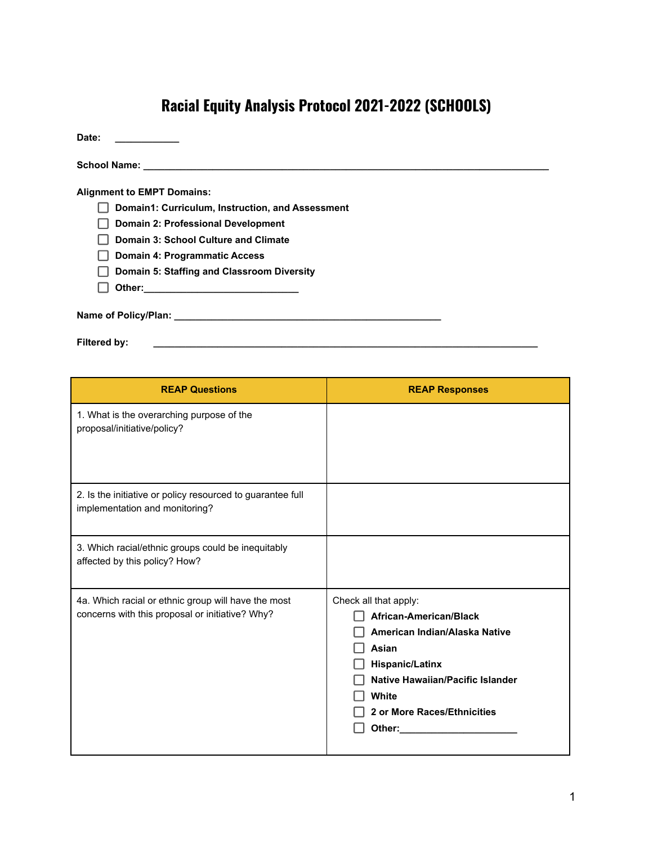## **Racial Equity Analysis Protocol 2021-2022 (SCHOOLS)**

| Date:                                            |
|--------------------------------------------------|
|                                                  |
| <b>Alignment to EMPT Domains:</b>                |
| Domain1: Curriculum, Instruction, and Assessment |
| Domain 2: Professional Development               |
| Domain 3: School Culture and Climate             |
| <b>Domain 4: Programmatic Access</b>             |
| Domain 5: Staffing and Classroom Diversity       |
|                                                  |
|                                                  |
| Filtered by:                                     |

| <b>REAP Questions</b>                                                                                  | <b>REAP Responses</b>                                                                                                                                                                                     |
|--------------------------------------------------------------------------------------------------------|-----------------------------------------------------------------------------------------------------------------------------------------------------------------------------------------------------------|
| 1. What is the overarching purpose of the<br>proposal/initiative/policy?                               |                                                                                                                                                                                                           |
| 2. Is the initiative or policy resourced to guarantee full<br>implementation and monitoring?           |                                                                                                                                                                                                           |
| 3. Which racial/ethnic groups could be inequitably<br>affected by this policy? How?                    |                                                                                                                                                                                                           |
| 4a. Which racial or ethnic group will have the most<br>concerns with this proposal or initiative? Why? | Check all that apply:<br>African-American/Black<br>American Indian/Alaska Native<br>Asian<br><b>Hispanic/Latinx</b><br>Native Hawaiian/Pacific Islander<br>White<br>2 or More Races/Ethnicities<br>Other: |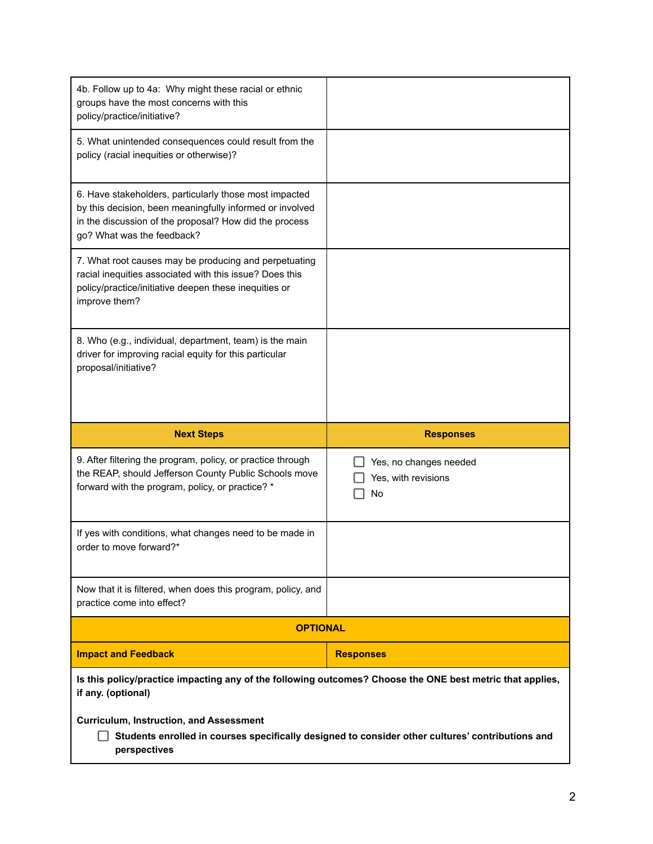| 4b. Follow up to 4a: Why might these racial or ethnic<br>groups have the most concerns with this<br>policy/practice/initiative?                                                                            |                                                     |
|------------------------------------------------------------------------------------------------------------------------------------------------------------------------------------------------------------|-----------------------------------------------------|
| 5. What unintended consequences could result from the<br>policy (racial inequities or otherwise)?                                                                                                          |                                                     |
| 6. Have stakeholders, particularly those most impacted<br>by this decision, been meaningfully informed or involved<br>in the discussion of the proposal? How did the process<br>go? What was the feedback? |                                                     |
| 7. What root causes may be producing and perpetuating<br>racial inequities associated with this issue? Does this<br>policy/practice/initiative deepen these inequities or<br>improve them?                 |                                                     |
| 8. Who (e.g., individual, department, team) is the main<br>driver for improving racial equity for this particular<br>proposal/initiative?                                                                  |                                                     |
|                                                                                                                                                                                                            |                                                     |
| <b>Next Steps</b>                                                                                                                                                                                          | <b>Responses</b>                                    |
| 9. After filtering the program, policy, or practice through<br>the REAP, should Jefferson County Public Schools move<br>forward with the program, policy, or practice? *                                   | Yes, no changes needed<br>Yes, with revisions<br>No |
| If yes with conditions, what changes need to be made in<br>order to move forward?*                                                                                                                         |                                                     |
| Now that it is filtered, when does this program, policy, and<br>practice come into effect?                                                                                                                 |                                                     |
| <b>OPTIONAL</b>                                                                                                                                                                                            |                                                     |
| <b>Impact and Feedback</b>                                                                                                                                                                                 | <b>Responses</b>                                    |
| Is this policy/practice impacting any of the following outcomes? Choose the ONE best metric that applies,<br>if any. (optional)                                                                            |                                                     |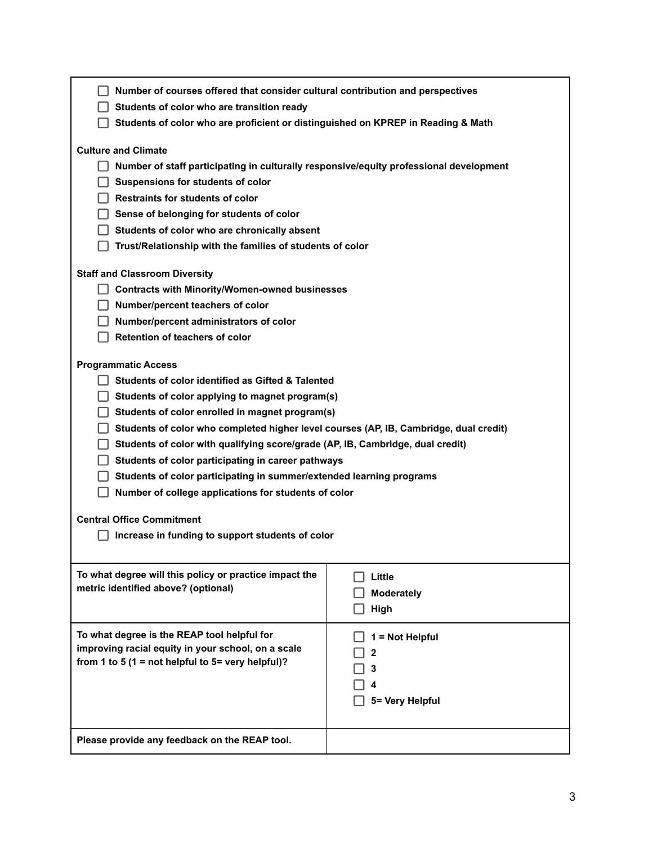| Number of courses offered that consider cultural contribution and perspectives                                       |                 |  |
|----------------------------------------------------------------------------------------------------------------------|-----------------|--|
| Students of color who are transition ready                                                                           |                 |  |
| Students of color who are proficient or distinguished on KPREP in Reading & Math                                     |                 |  |
| <b>Culture and Climate</b><br>Number of staff participating in culturally responsive/equity professional development |                 |  |
| Suspensions for students of color                                                                                    |                 |  |
| <b>Restraints for students of color</b>                                                                              |                 |  |
| Sense of belonging for students of color                                                                             |                 |  |
| Students of color who are chronically absent                                                                         |                 |  |
| Trust/Relationship with the families of students of color                                                            |                 |  |
| <b>Staff and Classroom Diversity</b>                                                                                 |                 |  |
| <b>Contracts with Minority/Women-owned businesses</b>                                                                |                 |  |
| Number/percent teachers of color                                                                                     |                 |  |
| Number/percent administrators of color                                                                               |                 |  |
| Retention of teachers of color                                                                                       |                 |  |
|                                                                                                                      |                 |  |
| <b>Programmatic Access</b>                                                                                           |                 |  |
| Students of color identified as Gifted & Talented                                                                    |                 |  |
| $\Box$ Students of color applying to magnet program(s)                                                               |                 |  |
| Students of color enrolled in magnet program(s)                                                                      |                 |  |
| Students of color who completed higher level courses (AP, IB, Cambridge, dual credit)                                |                 |  |
| Students of color with qualifying score/grade (AP, IB, Cambridge, dual credit)                                       |                 |  |
| Students of color participating in career pathways                                                                   |                 |  |
| Students of color participating in summer/extended learning programs                                                 |                 |  |
| Number of college applications for students of color                                                                 |                 |  |
| <b>Central Office Commitment</b>                                                                                     |                 |  |
| Increase in funding to support students of color                                                                     |                 |  |
|                                                                                                                      |                 |  |
| To what degree will this policy or practice impact the                                                               | Little          |  |
| metric identified above? (optional)                                                                                  | Moderately      |  |
|                                                                                                                      | High            |  |
|                                                                                                                      |                 |  |
| To what degree is the REAP tool helpful for                                                                          | = Not Helpful   |  |
| improving racial equity in your school, on a scale                                                                   | 2               |  |
| from 1 to 5 (1 = not helpful to 5= very helpful)?                                                                    |                 |  |
|                                                                                                                      |                 |  |
|                                                                                                                      | 5= Very Helpful |  |
|                                                                                                                      |                 |  |
| Please provide any feedback on the REAP tool.                                                                        |                 |  |